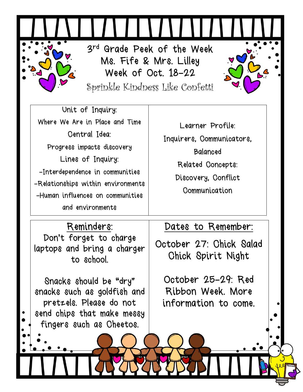3 rd Grade Peek of the Week Ms. Fife & Mrs. Lilley Week of Oct. 18-22

Sprinkle Kindness Like Confetti

Unit of Inquiry: Where We Are in Place and Time Central Idea: Progress impacts discovery Lines of Inquiry: -Interdependence in communities -Relationships within environments -Human influences on communities and environments

Learner Profile: Inquirers, Communicators, Balanced Related Concepts: Discovery, Conflict **Communication** 

## Reminders:

Don't forget to charge laptops and bring a charger to school.

Snacks should be "dry" snacks such as goldfish and pretzels. Please do not send chips that make messy fingers such as Cheetos.

## Dates to Remember:

October 27: Chick Salad Chick Spirit Night

October 25-29: Red Ribbon Week. More information to come.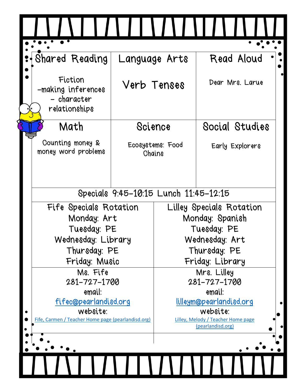|  | Shared Reading<br>Language Arts                                                                                                                                                            |                            |                                                                                                                    | Read Aloud        |  |
|--|--------------------------------------------------------------------------------------------------------------------------------------------------------------------------------------------|----------------------------|--------------------------------------------------------------------------------------------------------------------|-------------------|--|
|  | Fiction<br>-making inferences<br>- character<br>relationships                                                                                                                              | Verb Tenses                |                                                                                                                    | Dear Mrs. Larue   |  |
|  | Math<br>Science                                                                                                                                                                            |                            |                                                                                                                    | Social Studies    |  |
|  | Counting money &<br>money word problems                                                                                                                                                    | Ecosystems: Food<br>Chains |                                                                                                                    | Early Explorers   |  |
|  | Specials 9:45-10:15 Lunch 11:45-12:15<br>Fife Specials Rotation<br>Monday: Art<br>Tuesday: PE<br>Wednesday: Library<br>Thursday: PE<br>Friday: Music<br>Ms. Fife<br>281-727-1700<br>email: |                            |                                                                                                                    |                   |  |
|  |                                                                                                                                                                                            |                            | Lilley Specials Rotation                                                                                           |                   |  |
|  |                                                                                                                                                                                            |                            | Monday: Spanish<br>Tuesday: PE<br>Wednesday: Art<br>Thursday: PE<br>Friday: Library<br>Mrs. Lilley<br>281-727-1700 |                   |  |
|  |                                                                                                                                                                                            |                            |                                                                                                                    |                   |  |
|  |                                                                                                                                                                                            |                            |                                                                                                                    |                   |  |
|  |                                                                                                                                                                                            |                            |                                                                                                                    |                   |  |
|  |                                                                                                                                                                                            |                            |                                                                                                                    |                   |  |
|  |                                                                                                                                                                                            |                            |                                                                                                                    |                   |  |
|  | fifec@pearlandisd.org                                                                                                                                                                      |                            | email:<br>lilleym@pearlandisd.org                                                                                  |                   |  |
|  | website:                                                                                                                                                                                   |                            | website:                                                                                                           |                   |  |
|  | Fife, Carmen / Teacher Home page (pearlandisd.org)                                                                                                                                         |                            | Lilley, Melody / Teacher Home page                                                                                 |                   |  |
|  |                                                                                                                                                                                            |                            |                                                                                                                    | (pearlandisd.org) |  |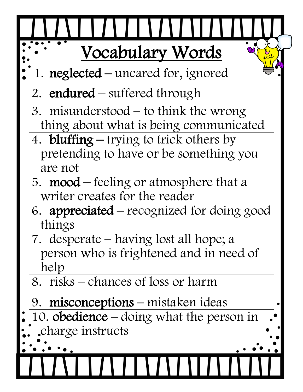